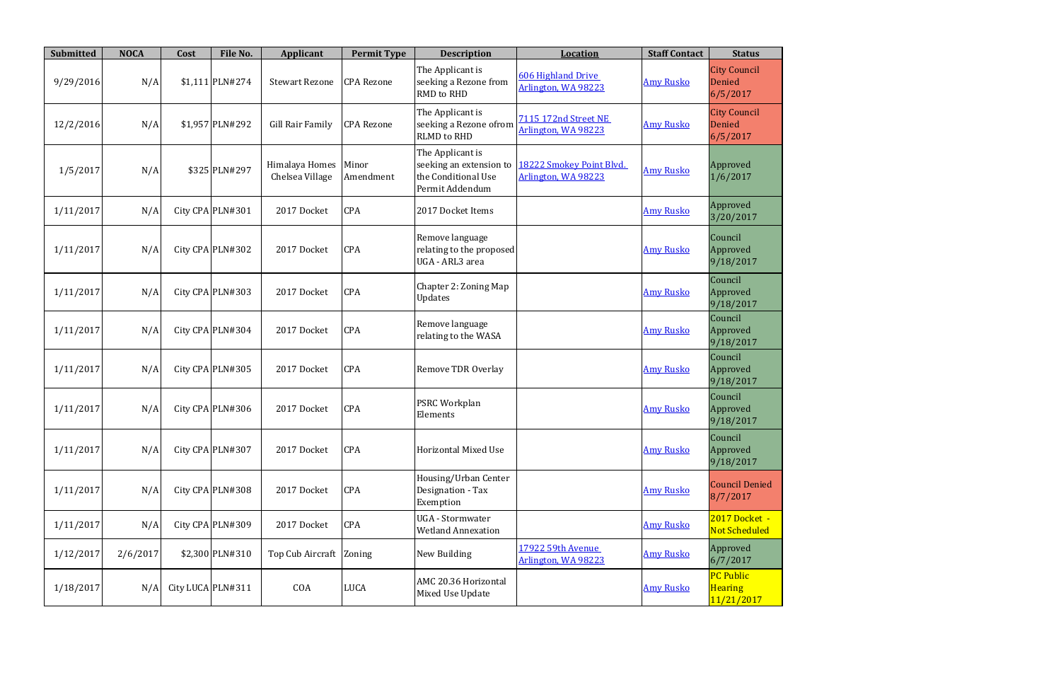| <b>Submitted</b> | <b>NOCA</b> | Cost              | File No.         | Applicant                         | <b>Permit Type</b> | <b>Description</b>                                                                    | <b>Location</b>                                  | <b>Staff Contact</b> | <b>Status</b>                                    |
|------------------|-------------|-------------------|------------------|-----------------------------------|--------------------|---------------------------------------------------------------------------------------|--------------------------------------------------|----------------------|--------------------------------------------------|
| 9/29/2016        | N/A         |                   | $$1,111$ PLN#274 | <b>Stewart Rezone</b>             | <b>CPA</b> Rezone  | The Applicant is<br>seeking a Rezone from<br>RMD to RHD                               | <b>606 Highland Drive</b><br>Arlington, WA 98223 | <b>Amy Rusko</b>     | <b>City Council</b><br>Denied<br>6/5/2017        |
| 12/2/2016        | N/A         |                   | \$1,957 PLN#292  | <b>Gill Rair Family</b>           | <b>CPA Rezone</b>  | The Applicant is<br>seeking a Rezone ofrom<br><b>RLMD</b> to RHD                      | 7115 172nd Street NE<br>Arlington, WA 98223      | <b>Amy Rusko</b>     | <b>City Council</b><br>Denied<br>6/5/2017        |
| 1/5/2017         | N/A         |                   | \$325 PLN#297    | Himalaya Homes<br>Chelsea Village | Minor<br>Amendment | The Applicant is<br>seeking an extension to<br>the Conditional Use<br>Permit Addendum | 18222 Smokey Point Blvd.<br>Arlington, WA 98223  | <b>Amy Rusko</b>     | Approved<br>1/6/2017                             |
| 1/11/2017        | N/A         |                   | City CPA PLN#301 | 2017 Docket                       | CPA                | 2017 Docket Items                                                                     |                                                  | <b>Amy Rusko</b>     | Approved<br>3/20/2017                            |
| 1/11/2017        | N/A         |                   | City CPA PLN#302 | 2017 Docket                       | CPA                | Remove language<br>relating to the proposed<br>UGA - ARL3 area                        |                                                  | <b>Amy Rusko</b>     | Council<br>Approved<br>9/18/2017                 |
| 1/11/2017        | N/A         |                   | City CPA PLN#303 | 2017 Docket                       | <b>CPA</b>         | Chapter 2: Zoning Map<br><b>Updates</b>                                               |                                                  | <b>Amy Rusko</b>     | Council<br>Approved<br>9/18/2017                 |
| 1/11/2017        | N/A         |                   | City CPA PLN#304 | 2017 Docket                       | CPA                | Remove language<br>relating to the WASA                                               |                                                  | <b>Amy Rusko</b>     | Council<br>Approved<br>9/18/2017                 |
| 1/11/2017        | N/A         |                   | City CPA PLN#305 | 2017 Docket                       | CPA                | <b>Remove TDR Overlay</b>                                                             |                                                  | <b>Amy Rusko</b>     | Council<br>Approved<br>9/18/2017                 |
| 1/11/2017        | N/A         |                   | City CPA PLN#306 | 2017 Docket                       | CPA                | <b>PSRC Workplan</b><br>Elements                                                      |                                                  | <b>Amy Rusko</b>     | Council<br>Approved<br>9/18/2017                 |
| 1/11/2017        | N/A         |                   | City CPA PLN#307 | 2017 Docket                       | CPA                | Horizontal Mixed Use                                                                  |                                                  | <b>Amy Rusko</b>     | Council<br>Approved<br>9/18/2017                 |
| 1/11/2017        | N/A         |                   | City CPA PLN#308 | 2017 Docket                       | <b>CPA</b>         | Housing/Urban Center<br>Designation - Tax<br>Exemption                                |                                                  | <b>Amy Rusko</b>     | <b>Council Denied</b><br>8/7/2017                |
| 1/11/2017        | N/A         |                   | City CPA PLN#309 | 2017 Docket                       | CPA                | UGA - Stormwater<br><b>Wetland Annexation</b>                                         |                                                  | <b>Amy Rusko</b>     | 2017 Docket -<br><b>Not Scheduled</b>            |
| 1/12/2017        | 2/6/2017    |                   | \$2,300 PLN#310  | Top Cub Aircraft                  | Zoning             | New Building                                                                          | 17922 59th Avenue<br>Arlington, WA 98223         | <b>Amy Rusko</b>     | Approved<br>6/7/2017                             |
| 1/18/2017        | N/A         | City LUCA PLN#311 |                  | COA                               | <b>LUCA</b>        | AMC 20.36 Horizontal<br>Mixed Use Update                                              |                                                  | <b>Amy Rusko</b>     | <b>PC Public</b><br><b>Hearing</b><br>11/21/2017 |

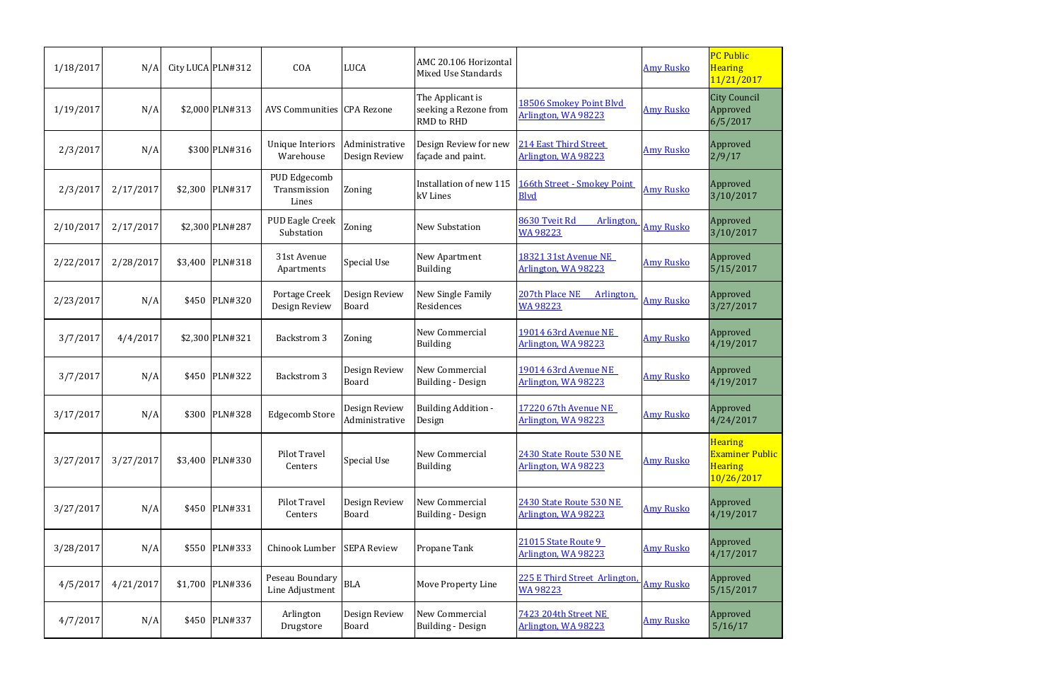| 1/18/2017 | N/A       |         | City LUCA PLN#312 | COA                                   | <b>LUCA</b>                     | AMC 20.106 Horizontal<br>Mixed Use Standards                   |                                                     | <b>Amy Rusko</b> | <b>PC Public</b><br><b>Hearing</b><br>11/21/2017                         |
|-----------|-----------|---------|-------------------|---------------------------------------|---------------------------------|----------------------------------------------------------------|-----------------------------------------------------|------------------|--------------------------------------------------------------------------|
| 1/19/2017 | N/A       |         | \$2,000 PLN#313   | AVS Communities CPA Rezone            |                                 | The Applicant is<br>seeking a Rezone from<br><b>RMD</b> to RHD | 18506 Smokey Point Blvd<br>Arlington, WA 98223      | <b>Amy Rusko</b> | <b>City Council</b><br>Approved<br>6/5/2017                              |
| 2/3/2017  | N/A       |         | \$300 PLN#316     | <b>Unique Interiors</b><br>Warehouse  | Administrative<br>Design Review | Design Review for new<br>façade and paint.                     | 214 East Third Street<br>Arlington, WA 98223        | <b>Amy Rusko</b> | Approved<br>2/9/17                                                       |
| 2/3/2017  | 2/17/2017 |         | \$2,300 PLN#317   | PUD Edgecomb<br>Transmission<br>Lines | Zoning                          | Installation of new 115<br>kV Lines                            | 166th Street - Smokey Point<br><b>Blvd</b>          | <b>Amy Rusko</b> | Approved<br>3/10/2017                                                    |
| 2/10/2017 | 2/17/2017 |         | \$2,300 PLN#287   | PUD Eagle Creek<br>Substation         | Zoning                          | <b>New Substation</b>                                          | 8630 Tveit Rd<br><b>Arlington</b><br><b>WA98223</b> | <b>Amy Rusko</b> | Approved<br>3/10/2017                                                    |
| 2/22/2017 | 2/28/2017 |         | \$3,400 PLN#318   | 31st Avenue<br>Apartments             | Special Use                     | <b>New Apartment</b><br><b>Building</b>                        | <b>18321 31st Avenue NE</b><br>Arlington, WA 98223  | <b>Amy Rusko</b> | Approved<br>5/15/2017                                                    |
| 2/23/2017 | N/A       |         | \$450 PLN#320     | Portage Creek<br>Design Review        | Design Review<br>Board          | New Single Family<br>Residences                                | 207th Place NE<br>Arlington<br><b>WA98223</b>       | <b>Amy Rusko</b> | Approved<br>3/27/2017                                                    |
| 3/7/2017  | 4/4/2017  |         | \$2,300 PLN#321   | <b>Backstrom 3</b>                    | Zoning                          | New Commercial<br><b>Building</b>                              | 19014 63rd Avenue NE<br>Arlington, WA 98223         | <b>Amy Rusko</b> | Approved<br>4/19/2017                                                    |
| 3/7/2017  | N/A       |         | \$450 PLN#322     | Backstrom 3                           | Design Review<br><b>Board</b>   | New Commercial<br><b>Building - Design</b>                     | 19014 63rd Avenue NE<br>Arlington, WA 98223         | <b>Amy Rusko</b> | Approved<br>4/19/2017                                                    |
| 3/17/2017 | N/A       | \$300   | <b>PLN#328</b>    | <b>Edgecomb Store</b>                 | Design Review<br>Administrative | <b>Building Addition -</b><br>Design                           | 17220 67th Avenue NE<br>Arlington, WA 98223         | <b>Amy Rusko</b> | Approved<br>4/24/2017                                                    |
| 3/27/2017 | 3/27/2017 |         | \$3,400 PLN#330   | Pilot Travel<br>Centers               | Special Use                     | New Commercial<br><b>Building</b>                              | 2430 State Route 530 NE<br>Arlington, WA 98223      | <b>Amy Rusko</b> | <b>Hearing</b><br><b>Examiner Public</b><br><b>Hearing</b><br>10/26/2017 |
| 3/27/2017 | N/A       |         | \$450 PLN#331     | <b>Pilot Travel</b><br>Centers        | Design Review<br><b>Board</b>   | New Commercial<br><b>Building - Design</b>                     | 2430 State Route 530 NE<br>Arlington, WA 98223      | <b>Amy Rusko</b> | Approved<br>4/19/2017                                                    |
| 3/28/2017 | N/A       | \$550   | PLN#333           | Chinook Lumber                        | <b>SEPA Review</b>              | Propane Tank                                                   | 21015 State Route 9<br>Arlington, WA 98223          | <b>Amy Rusko</b> | Approved<br>4/17/2017                                                    |
| 4/5/2017  | 4/21/2017 | \$1,700 | PLN#336           | Peseau Boundary<br>Line Adjustment    | <b>BLA</b>                      | <b>Move Property Line</b>                                      | 225 E Third Street Arlington<br><b>WA 98223</b>     | <b>Amy Rusko</b> | Approved<br>5/15/2017                                                    |
| 4/7/2017  | N/A       |         | \$450 PLN#337     | Arlington<br>Drugstore                | Design Review<br>Board          | New Commercial<br><b>Building - Design</b>                     | 7423 204th Street NE<br>Arlington, WA 98223         | <b>Amy Rusko</b> | Approved<br>5/16/17                                                      |

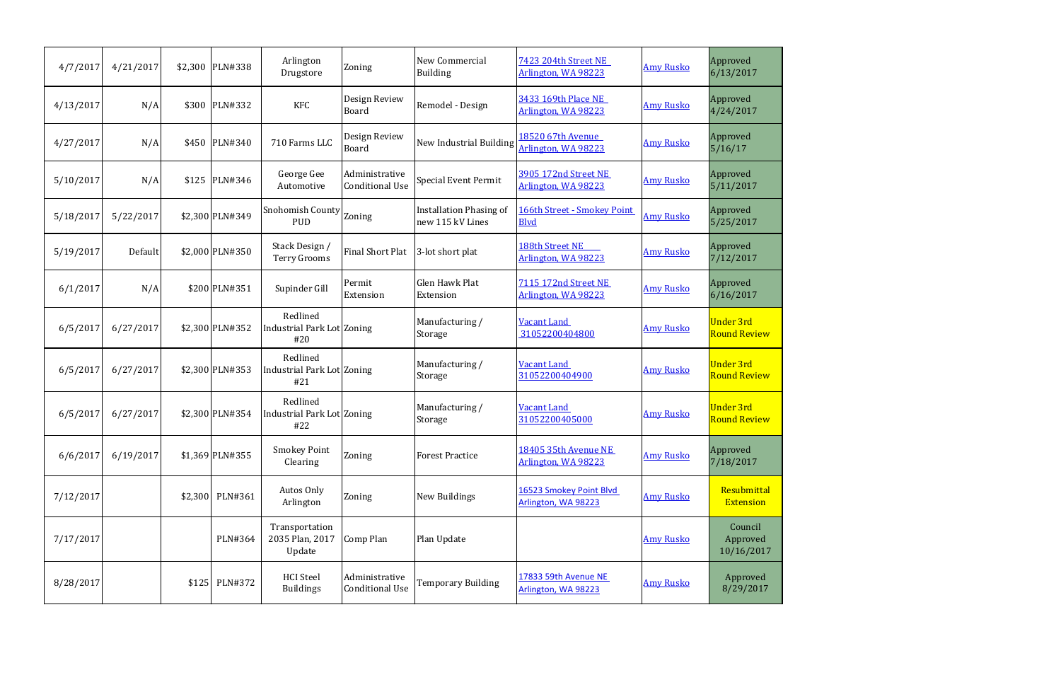| 4/7/2017  | 4/21/2017 | \$2,300 | <b>PLN#338</b>  | Arlington<br>Drugstore                        | Zoning                                   | <b>New Commercial</b><br><b>Building</b>           | 7423 204th Street NE<br>Arlington, WA 98223       | <b>Amy Rusko</b> | Approved<br>6/13/2017                   |
|-----------|-----------|---------|-----------------|-----------------------------------------------|------------------------------------------|----------------------------------------------------|---------------------------------------------------|------------------|-----------------------------------------|
| 4/13/2017 | N/A       | \$300   | PLN#332         | <b>KFC</b>                                    | Design Review<br><b>Board</b>            | Remodel - Design                                   | 3433 169th Place NE<br>Arlington, WA 98223        | <b>Amy Rusko</b> | Approved<br>4/24/2017                   |
| 4/27/2017 | N/A       | \$450   | <b>PLN#340</b>  | 710 Farms LLC                                 | Design Review<br>Board                   | New Industrial Building                            | 18520 67th Avenue<br>Arlington, WA 98223          | <b>Amy Rusko</b> | Approved<br>5/16/17                     |
| 5/10/2017 | N/A       | \$125   | PLN#346         | George Gee<br>Automotive                      | Administrative<br><b>Conditional Use</b> | <b>Special Event Permit</b>                        | 3905 172nd Street NE<br>Arlington, WA 98223       | <b>Amy Rusko</b> | Approved<br>5/11/2017                   |
| 5/18/2017 | 5/22/2017 |         | \$2,300 PLN#349 | Snohomish County $ $ Zoning<br><b>PUD</b>     |                                          | <b>Installation Phasing of</b><br>new 115 kV Lines | <b>166th Street - Smokey Point</b><br><b>Blvd</b> | <b>Amy Rusko</b> | Approved<br>5/25/2017                   |
| 5/19/2017 | Default   |         | \$2,000 PLN#350 | Stack Design /<br>Terry Grooms                | Final Short Plat                         | 3-lot short plat                                   | 188th Street NE<br>Arlington, WA 98223            | <b>Amy Rusko</b> | Approved<br>7/12/2017                   |
| 6/1/2017  | N/A       |         | \$200 PLN#351   | Supinder Gill                                 | Permit<br>Extension                      | <b>Glen Hawk Plat</b><br>Extension                 | 7115 172nd Street NE<br>Arlington, WA 98223       | <b>Amy Rusko</b> | Approved<br>6/16/2017                   |
| 6/5/2017  | 6/27/2017 |         | \$2,300 PLN#352 | Redlined<br>Industrial Park Lot Zoning<br>#20 |                                          | Manufacturing /<br>Storage                         | <b>Vacant Land</b><br>31052200404800              | <b>Amy Rusko</b> | <b>Under 3rd</b><br><b>Round Review</b> |
| 6/5/2017  | 6/27/2017 |         | \$2,300 PLN#353 | Redlined<br>Industrial Park Lot Zoning<br>#21 |                                          | Manufacturing /<br>Storage                         | <b>Vacant Land</b><br>31052200404900              | <b>Amy Rusko</b> | <b>Under 3rd</b><br><b>Round Review</b> |
| 6/5/2017  | 6/27/2017 |         | \$2,300 PLN#354 | Redlined<br>Industrial Park Lot Zoning<br>#22 |                                          | Manufacturing /<br><b>Storage</b>                  | <b>Vacant Land</b><br>31052200405000              | <b>Amy Rusko</b> | <b>Under 3rd</b><br><b>Round Review</b> |
| 6/6/2017  | 6/19/2017 |         | \$1,369 PLN#355 | <b>Smokey Point</b><br>Clearing               | Zoning                                   | <b>Forest Practice</b>                             | 18405 35th Avenue NE<br>Arlington, WA 98223       | <b>Amy Rusko</b> | Approved<br>7/18/2017                   |
| 7/12/2017 |           |         | \$2,300 PLN#361 | Autos Only<br>Arlington                       | Zoning                                   | <b>New Buildings</b>                               | 16523 Smokey Point Blvd<br>Arlington, WA 98223    | <b>Amy Rusko</b> | Resubmittal<br><b>Extension</b>         |
| 7/17/2017 |           |         | PLN#364         | Transportation<br>2035 Plan, 2017<br>Update   | Comp Plan                                | Plan Update                                        |                                                   | <b>Amy Rusko</b> | Council<br>Approved<br>10/16/2017       |
| 8/28/2017 |           |         | \$125 PLN#372   | <b>HCI</b> Steel<br><b>Buildings</b>          | Administrative<br><b>Conditional Use</b> | <b>Temporary Building</b>                          | 17833 59th Avenue NE<br>Arlington, WA 98223       | <b>Amy Rusko</b> | Approved<br>8/29/2017                   |